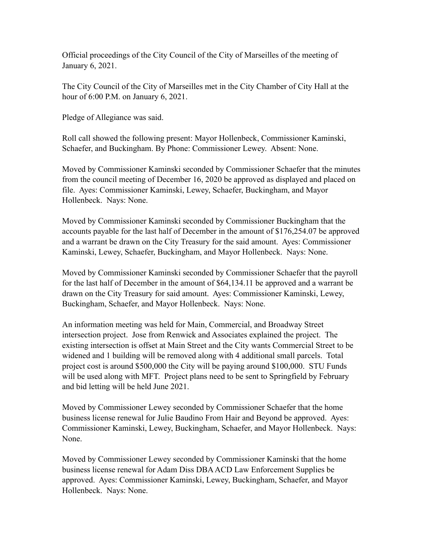Official proceedings of the City Council of the City of Marseilles of the meeting of January 6, 2021.

The City Council of the City of Marseilles met in the City Chamber of City Hall at the hour of 6:00 P.M. on January 6, 2021.

Pledge of Allegiance was said.

Roll call showed the following present: Mayor Hollenbeck, Commissioner Kaminski, Schaefer, and Buckingham. By Phone: Commissioner Lewey. Absent: None.

Moved by Commissioner Kaminski seconded by Commissioner Schaefer that the minutes from the council meeting of December 16, 2020 be approved as displayed and placed on file. Ayes: Commissioner Kaminski, Lewey, Schaefer, Buckingham, and Mayor Hollenbeck. Nays: None.

Moved by Commissioner Kaminski seconded by Commissioner Buckingham that the accounts payable for the last half of December in the amount of \$176,254.07 be approved and a warrant be drawn on the City Treasury for the said amount. Ayes: Commissioner Kaminski, Lewey, Schaefer, Buckingham, and Mayor Hollenbeck. Nays: None.

Moved by Commissioner Kaminski seconded by Commissioner Schaefer that the payroll for the last half of December in the amount of \$64,134.11 be approved and a warrant be drawn on the City Treasury for said amount. Ayes: Commissioner Kaminski, Lewey, Buckingham, Schaefer, and Mayor Hollenbeck. Nays: None.

An information meeting was held for Main, Commercial, and Broadway Street intersection project. Jose from Renwick and Associates explained the project. The existing intersection is offset at Main Street and the City wants Commercial Street to be widened and 1 building will be removed along with 4 additional small parcels. Total project cost is around \$500,000 the City will be paying around \$100,000. STU Funds will be used along with MFT. Project plans need to be sent to Springfield by February and bid letting will be held June 2021.

Moved by Commissioner Lewey seconded by Commissioner Schaefer that the home business license renewal for Julie Baudino From Hair and Beyond be approved. Ayes: Commissioner Kaminski, Lewey, Buckingham, Schaefer, and Mayor Hollenbeck. Nays: None.

Moved by Commissioner Lewey seconded by Commissioner Kaminski that the home business license renewal for Adam Diss DBA ACD Law Enforcement Supplies be approved. Ayes: Commissioner Kaminski, Lewey, Buckingham, Schaefer, and Mayor Hollenbeck. Nays: None.